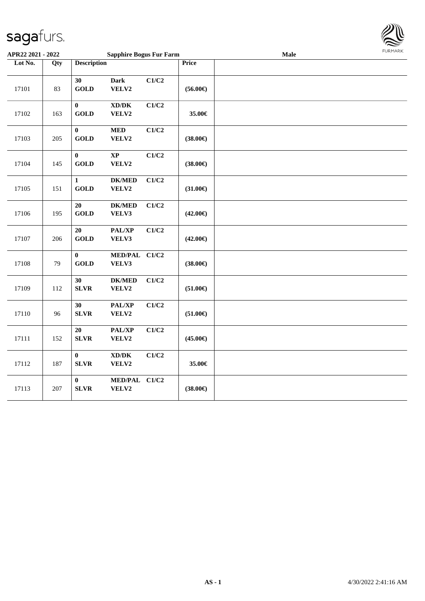

| APR22 2021 - 2022 |     |                             | <b>Sapphire Bogus Fur Farm</b>               |       |                   | Male |  |
|-------------------|-----|-----------------------------|----------------------------------------------|-------|-------------------|------|--|
| Lot No.           | Qty | <b>Description</b>          |                                              |       | Price             |      |  |
| 17101             | 83  | 30<br><b>GOLD</b>           | <b>Dark</b><br>VELV2                         | C1/C2 | $(56.00\epsilon)$ |      |  |
| 17102             | 163 | $\bf{0}$<br><b>GOLD</b>     | $\bold{X}\bold{D}/\bold{D}\bold{K}$<br>VELV2 | C1/C2 | 35.00€            |      |  |
| 17103             | 205 | $\bf{0}$<br><b>GOLD</b>     | <b>MED</b><br>VELV2                          | C1/C2 | $(38.00\epsilon)$ |      |  |
| 17104             | 145 | $\bf{0}$<br><b>GOLD</b>     | $\bold{XP}$<br>VELV2                         | C1/C2 | $(38.00\epsilon)$ |      |  |
| 17105             | 151 | $\mathbf{1}$<br><b>GOLD</b> | <b>DK/MED</b><br>VELV2                       | C1/C2 | $(31.00\epsilon)$ |      |  |
| 17106             | 195 | 20<br><b>GOLD</b>           | <b>DK/MED</b><br>VELV3                       | C1/C2 | $(42.00\epsilon)$ |      |  |
| 17107             | 206 | 20<br><b>GOLD</b>           | PAL/XP<br>VELV3                              | C1/C2 | $(42.00\epsilon)$ |      |  |
| 17108             | 79  | $\bf{0}$<br><b>GOLD</b>     | MED/PAL C1/C2<br>VELV3                       |       | $(38.00\epsilon)$ |      |  |
| 17109             | 112 | 30<br>${\bf SLVR}$          | <b>DK/MED</b><br>VELV2                       | C1/C2 | $(51.00\epsilon)$ |      |  |
| 17110             | 96  | 30<br><b>SLVR</b>           | PAL/XP<br>VELV2                              | C1/C2 | $(51.00\epsilon)$ |      |  |
| 17111             | 152 | 20<br><b>SLVR</b>           | PAL/XP<br>VELV2                              | C1/C2 | $(45.00\epsilon)$ |      |  |
| 17112             | 187 | $\bf{0}$<br><b>SLVR</b>     | $\bold{X}\bold{D}/\bold{D}\bold{K}$<br>VELV2 | C1/C2 | 35.00€            |      |  |
| 17113             | 207 | $\bf{0}$<br><b>SLVR</b>     | <b>MED/PAL</b><br>VELV2                      | C1/C2 | $(38.00\epsilon)$ |      |  |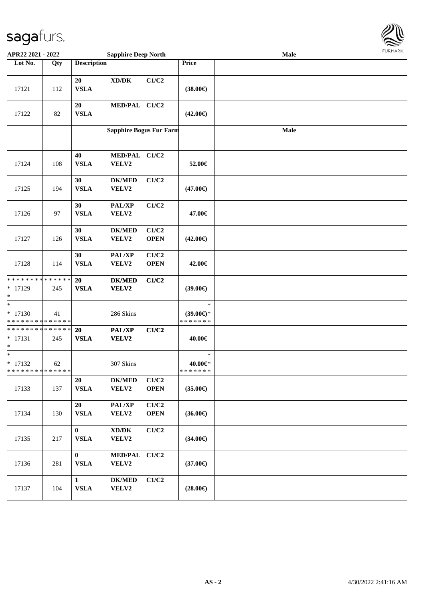

| APR22 2021 - 2022                                                 | <b>Sapphire Deep North</b> |                             |                                              |                      |                                                | <b>LOKINKV</b> |  |
|-------------------------------------------------------------------|----------------------------|-----------------------------|----------------------------------------------|----------------------|------------------------------------------------|----------------|--|
| Lot No.                                                           | Qty                        | <b>Description</b>          |                                              |                      | Price                                          |                |  |
| 17121                                                             | 112                        | 20<br><b>VSLA</b>           | XD/DK                                        | C1/C2                | $(38.00\epsilon)$                              |                |  |
| 17122                                                             | 82                         | 20<br><b>VSLA</b>           | MED/PAL C1/C2                                |                      | $(42.00\epsilon)$                              |                |  |
|                                                                   |                            |                             | <b>Sapphire Bogus Fur Farm</b>               |                      |                                                | <b>Male</b>    |  |
| 17124                                                             | 108                        | 40<br><b>VSLA</b>           | MED/PAL C1/C2<br>VELV2                       |                      | 52.00€                                         |                |  |
| 17125                                                             | 194                        | 30<br><b>VSLA</b>           | <b>DK/MED</b><br>VELV2                       | C1/C2                | $(47.00\epsilon)$                              |                |  |
| 17126                                                             | 97                         | 30<br><b>VSLA</b>           | PAL/XP<br>VELV2                              | C1/C2                | 47.00€                                         |                |  |
| 17127                                                             | 126                        | 30<br><b>VSLA</b>           | <b>DK/MED</b><br>VELV2                       | C1/C2<br><b>OPEN</b> | $(42.00\epsilon)$                              |                |  |
| 17128                                                             | 114                        | 30<br><b>VSLA</b>           | PAL/XP<br>VELV2                              | C1/C2<br><b>OPEN</b> | 42.00€                                         |                |  |
| * * * * * * * * * * * * * *<br>$* 17129$<br>*                     | 245                        | 20<br><b>VSLA</b>           | <b>DK/MED</b><br>VELV2                       | C1/C2                | $(39.00\epsilon)$                              |                |  |
| $\ast$<br>$* 17130$<br>* * * * * * * * <mark>* * * * * * *</mark> | 41                         |                             | 286 Skins                                    |                      | $\ast$<br>$(39.00\epsilon)$ *<br>* * * * * * * |                |  |
| * * * * * * * * <mark>* * * * * * *</mark><br>$* 17131$<br>$\ast$ | 245                        | 20<br><b>VSLA</b>           | <b>PAL/XP</b><br>VELV2                       | C1/C2                | 40.00€                                         |                |  |
| $\ast$<br>$* 17132$<br>* * * * * * * * <mark>* * * * * * *</mark> | 62                         |                             | 307 Skins                                    |                      | $\ast$<br>$40.00 \text{eV}$<br>* * * * * * *   |                |  |
| 17133                                                             | 137                        | 20<br><b>VSLA</b>           | <b>DK/MED</b><br>VELV2                       | C1/C2<br><b>OPEN</b> | $(35.00\epsilon)$                              |                |  |
| 17134                                                             | 130                        | 20<br><b>VSLA</b>           | PAL/XP<br>VELV2                              | C1/C2<br><b>OPEN</b> | $(36.00\epsilon)$                              |                |  |
| 17135                                                             | 217                        | $\mathbf{0}$<br><b>VSLA</b> | $\bold{X}\bold{D}/\bold{D}\bold{K}$<br>VELV2 | C1/C2                | $(34.00\epsilon)$                              |                |  |
| 17136                                                             | 281                        | $\mathbf{0}$<br><b>VSLA</b> | MED/PAL C1/C2<br>VELV2                       |                      | $(37.00\epsilon)$                              |                |  |
| 17137                                                             | 104                        | $\mathbf{1}$<br><b>VSLA</b> | <b>DK/MED</b><br>VELV2                       | C1/C2                | $(28.00\epsilon)$                              |                |  |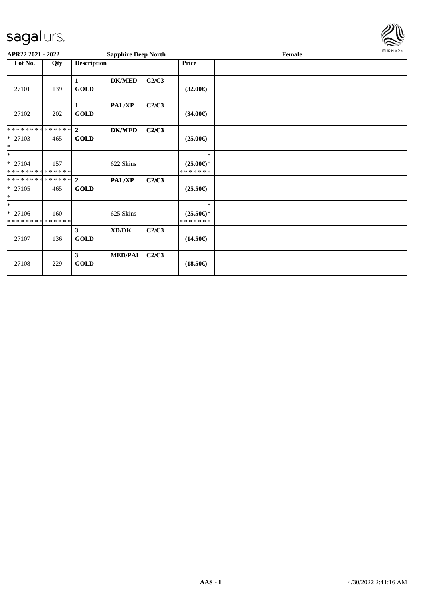

| APR22 2021 - 2022                        |     |                             | <b>Sapphire Deep North</b> |       |                                      | FURMARK |  |
|------------------------------------------|-----|-----------------------------|----------------------------|-------|--------------------------------------|---------|--|
| Lot No.                                  | Qty | <b>Description</b>          |                            |       | <b>Price</b>                         |         |  |
| 27101                                    | 139 | 1<br><b>GOLD</b>            | <b>DK/MED</b>              | C2/C3 | $(32.00\epsilon)$                    |         |  |
| 27102                                    | 202 | $\mathbf{1}$<br><b>GOLD</b> | <b>PAL/XP</b>              | C2/C3 | $(34.00\epsilon)$                    |         |  |
| * * * * * * * * * * * * * * *            |     | $\overline{2}$              | <b>DK/MED</b>              | C2/C3 |                                      |         |  |
| * 27103<br>$\ast$                        | 465 | <b>GOLD</b>                 |                            |       | $(25.00\epsilon)$                    |         |  |
| $*$                                      |     |                             |                            |       | $\ast$                               |         |  |
| $* 27104$<br>* * * * * * * * * * * * * * | 157 |                             | 622 Skins                  |       | $(25.00\epsilon)$ *<br>* * * * * * * |         |  |
| ************** 2                         |     |                             | PAL/XP                     | C2/C3 |                                      |         |  |
| * 27105<br>$\ast$                        | 465 | <b>GOLD</b>                 |                            |       | $(25.50\epsilon)$                    |         |  |
| $*$                                      |     |                             |                            |       | $\ast$                               |         |  |
| * 27106<br>* * * * * * * * * * * * * *   | 160 |                             | 625 Skins                  |       | $(25.50\epsilon)$ *<br>*******       |         |  |
| 27107                                    | 136 | $\mathbf{3}$<br><b>GOLD</b> | XD/DK                      | C2/C3 | $(14.50\epsilon)$                    |         |  |
| 27108                                    | 229 | $\mathbf{3}$<br><b>GOLD</b> | MED/PAL C2/C3              |       | $(18.50\epsilon)$                    |         |  |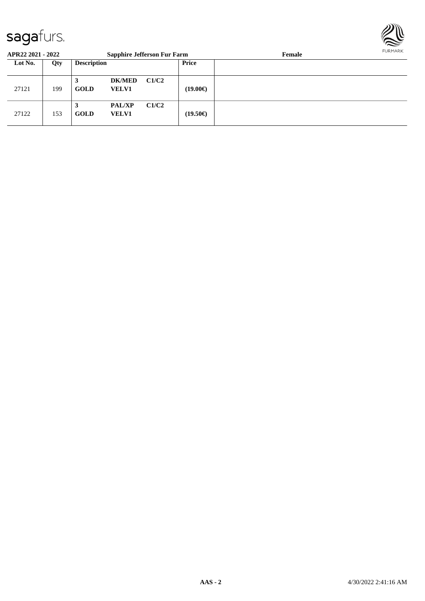

| APR22 2021 - 2022 |     | <b>Sapphire Jefferson Fur Farm</b> |                               |       |          | Female | FURMARK |
|-------------------|-----|------------------------------------|-------------------------------|-------|----------|--------|---------|
| Lot No.           | Qty | <b>Description</b>                 |                               |       | Price    |        |         |
| 27121             | 199 | 3<br>GOLD                          | <b>DK/MED</b><br><b>VELV1</b> | C1/C2 | (19.00€) |        |         |
| 27122             | 153 | 3<br>GOLD                          | <b>PAL/XP</b><br><b>VELV1</b> | C1/C2 | (19.50€) |        |         |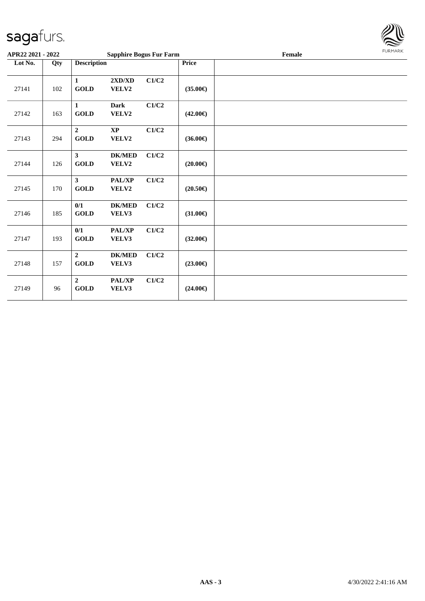

| APR22 2021 - 2022 |     |                                         | <b>Sapphire Bogus Fur Farm</b> |       |                   | Female | <b>FURMARK</b> |
|-------------------|-----|-----------------------------------------|--------------------------------|-------|-------------------|--------|----------------|
| Lot No.           | Qty | <b>Description</b>                      |                                |       | Price             |        |                |
| 27141             | 102 | $\mathbf{1}$<br>GOLD                    | 2XD/XD<br>VELV2                | C1/C2 | $(35.00\epsilon)$ |        |                |
| 27142             | 163 | $\mathbf{1}$<br><b>GOLD</b>             | <b>Dark</b><br>VELV2           | C1/C2 | $(42.00\epsilon)$ |        |                |
| 27143             | 294 | $\overline{2}$<br><b>GOLD</b>           | <b>XP</b><br>VELV2             | C1/C2 | $(36.00\epsilon)$ |        |                |
| 27144             | 126 | $\mathbf{3}$<br><b>GOLD</b>             | <b>DK/MED</b><br>VELV2         | C1/C2 | $(20.00\epsilon)$ |        |                |
| 27145             | 170 | $\mathbf{3}$<br>$\operatorname{GOLD}$   | PAL/XP<br>VELV2                | C1/C2 | $(20.50\epsilon)$ |        |                |
| 27146             | 185 | 0/1<br>GOLD                             | <b>DK/MED</b><br>VELV3         | C1/C2 | $(31.00\epsilon)$ |        |                |
| 27147             | 193 | 0/1<br>GOLD                             | PAL/XP<br>VELV3                | C1/C2 | $(32.00\epsilon)$ |        |                |
| 27148             | 157 | $\overline{2}$<br><b>GOLD</b>           | <b>DK/MED</b><br>VELV3         | C1/C2 | $(23.00\epsilon)$ |        |                |
| 27149             | 96  | $\overline{2}$<br>$\operatorname{GOLD}$ | PAL/XP<br>VELV3                | C1/C2 | $(24.00\epsilon)$ |        |                |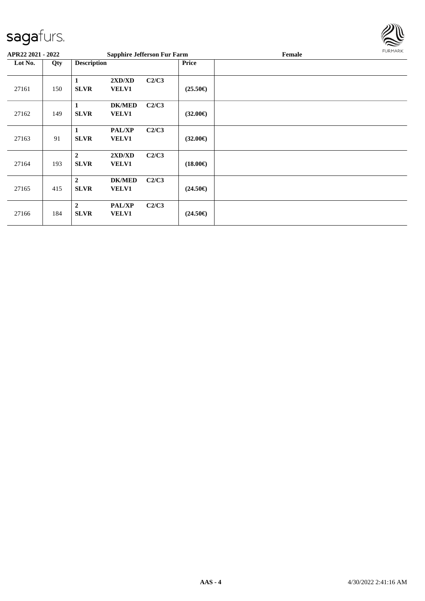

| APR22 2021 - 2022 |     |                               | <b>Sapphire Jefferson Fur Farm</b> |       |                   | Female | FURMARK |
|-------------------|-----|-------------------------------|------------------------------------|-------|-------------------|--------|---------|
| Lot No.           | Qty | <b>Description</b>            |                                    |       | <b>Price</b>      |        |         |
| 27161             | 150 | $\mathbf{1}$<br><b>SLVR</b>   | 2XD/XD<br><b>VELV1</b>             | C2/C3 | $(25.50\epsilon)$ |        |         |
| 27162             | 149 | 1<br><b>SLVR</b>              | <b>DK/MED</b><br><b>VELV1</b>      | C2/C3 | $(32.00\epsilon)$ |        |         |
| 27163             | 91  | 1<br><b>SLVR</b>              | <b>PAL/XP</b><br><b>VELV1</b>      | C2/C3 | $(32.00\epsilon)$ |        |         |
| 27164             | 193 | $\overline{2}$<br><b>SLVR</b> | 2XD/XD<br><b>VELV1</b>             | C2/C3 | $(18.00\epsilon)$ |        |         |
| 27165             | 415 | $\overline{2}$<br><b>SLVR</b> | <b>DK/MED</b><br><b>VELV1</b>      | C2/C3 | $(24.50\epsilon)$ |        |         |
| 27166             | 184 | $\overline{2}$<br><b>SLVR</b> | <b>PAL/XP</b><br><b>VELV1</b>      | C2/C3 | $(24.50\epsilon)$ |        |         |